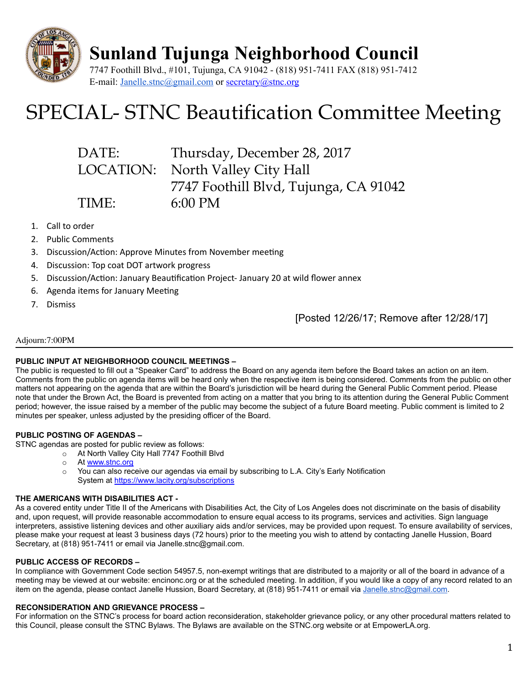

Sunland Tujunga Neighborhood Council

7747 Foothill Blvd., #101, Tujunga, CA 91042 - (818) 951-7411 FAX (818) 951-7412 E-mail: [Janelle.stnc@gmail.com](mailto:Janelle.stnc@gmail.com) or [secretary@stnc.org](mailto:secretary@stnc.org)

# SPECIAL- STNC Beautification Committee Meeting

| DATE: | Thursday, December 28, 2017           |
|-------|---------------------------------------|
|       | LOCATION: North Valley City Hall      |
|       | 7747 Foothill Blvd, Tujunga, CA 91042 |
| TIME: | $6:00 \text{ PM}$                     |

- 1. Call to order
- 2. Public Comments
- 3. Discussion/Action: Approve Minutes from November meeting
- 4. Discussion: Top coat DOT artwork progress
- 5. Discussion/Action: January Beautification Project-January 20 at wild flower annex
- 6. Agenda items for January Meeting
- 7. Dismiss

[Posted 12/26/17; Remove after 12/28/17]

#### Adjourn:7:00PM

#### PUBLIC INPUT AT NEIGHBORHOOD COUNCIL MEETINGS –

The public is requested to fill out a "Speaker Card" to address the Board on any agenda item before the Board takes an action on an item. Comments from the public on agenda items will be heard only when the respective item is being considered. Comments from the public on other matters not appearing on the agenda that are within the Board's jurisdiction will be heard during the General Public Comment period. Please note that under the Brown Act, the Board is prevented from acting on a matter that you bring to its attention during the General Public Comment period; however, the issue raised by a member of the public may become the subject of a future Board meeting. Public comment is limited to 2 minutes per speaker, unless adjusted by the presiding officer of the Board.

#### PUBLIC POSTING OF AGENDAS –

STNC agendas are posted for public review as follows:

- o At North Valley City Hall 7747 Foothill Blvd
- o At [www.stnc.org](http://www.stnc.org/)
- You can also receive our agendas via email by subscribing to L.A. City's Early Notification System at <https://www.lacity.org/subscriptions>

#### THE AMERICANS WITH DISABILITIES ACT -

As a covered entity under Title II of the Americans with Disabilities Act, the City of Los Angeles does not discriminate on the basis of disability and, upon request, will provide reasonable accommodation to ensure equal access to its programs, services and activities. Sign language interpreters, assistive listening devices and other auxiliary aids and/or services, may be provided upon request. To ensure availability of services, please make your request at least 3 business days (72 hours) prior to the meeting you wish to attend by contacting Janelle Hussion, Board Secretary, at (818) 951-7411 or email via Janelle.stnc@gmail.com.

#### PUBLIC ACCESS OF RECORDS –

In compliance with Government Code section 54957.5, non-exempt writings that are distributed to a majority or all of the board in advance of a meeting may be viewed at our website: encinonc.org or at the scheduled meeting. In addition, if you would like a copy of any record related to an item on the agenda, please contact Janelle Hussion, Board Secretary, at (818) 951-7411 or email via [Janelle.stnc@gmail.com](mailto:Janelle.stnc@gmail.com).

#### RECONSIDERATION AND GRIEVANCE PROCESS –

For information on the STNC's process for board action reconsideration, stakeholder grievance policy, or any other procedural matters related to this Council, please consult the STNC Bylaws. The Bylaws are available on the STNC.org website or at EmpowerLA.org.